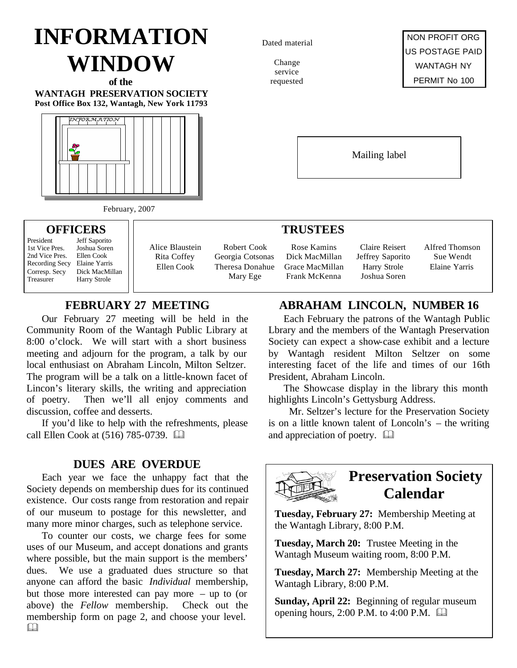# **INFORMATION WINDOW**

**of the WANTAGH PRESERVATION SOCIETY Post Office Box 132, Wantagh, New York 11793**



February, 2007

#### **OFFICERS**

President Jeff Saporito<br>1st Vice Pres. Joshua Soren 2nd Vice Pres.

1st Vice Pres. Joshua Sore<br>2nd Vice Pres. Ellen Cook Recording Secy Elaine Yarris Corresp. Secy Dick MacMillan Treasurer Harry Strole

Alice Blaustein Rita Coffey Ellen Cook

Robert Cook Georgia Cotsonas Theresa Donahue Mary Ege

## **FEBRUARY 27 MEETING**

Our February 27 meeting will be held in the Community Room of the Wantagh Public Library at 8:00 o'clock. We will start with a short business meeting and adjourn for the program, a talk by our local enthusiast on Abraham Lincoln, Milton Seltzer. The program will be a talk on a little-known facet of Lincon's literary skills, the writing and appreciation of poetry. Then we'll all enjoy comments and discussion, coffee and desserts.

If you'd like to help with the refreshments, please call Ellen Cook at (516) 785-0739. **and** 

### **DUES ARE OVERDUE**

Each year we face the unhappy fact that the Society depends on membership dues for its continued existence. Our costs range from restoration and repair of our museum to postage for this newsletter, and many more minor charges, such as telephone service.

To counter our costs, we charge fees for some uses of our Museum, and accept donations and grants where possible, but the main support is the members' dues. We use a graduated dues structure so that anyone can afford the basic *Individual* membership, but those more interested can pay more – up to (or above) the *Fellow* membership. Check out the membership form on page 2, and choose your level.  $\Box$ 

Dated material

Change service requested



Mailing label

#### **TRUSTEES**

Rose Kamins Dick MacMillan Grace MacMillan Frank McKenna

Claire Reisert Jeffrey Saporito Harry Strole Joshua Soren

Alfred Thomson Sue Wendt Elaine Yarris

## **ABRAHAM LINCOLN, NUMBER 16**

Each February the patrons of the Wantagh Public Lbrary and the members of the Wantagh Preservation Society can expect a show-case exhibit and a lecture by Wantagh resident Milton Seltzer on some interesting facet of the life and times of our 16th President, Abraham Lincoln.

The Showcase display in the library this month highlights Lincoln's Gettysburg Address.

 Mr. Seltzer's lecture for the Preservation Society is on a little known talent of Loncoln's – the writing and appreciation of poetry.  $\Box$ 



# **Preservation Society Calendar**

**Tuesday, February 27:** Membership Meeting at the Wantagh Library, 8:00 P.M.

**Tuesday, March 20:** Trustee Meeting in the Wantagh Museum waiting room, 8:00 P.M.

**Tuesday, March 27:** Membership Meeting at the Wantagh Library, 8:00 P.M.

**Sunday, April 22:** Beginning of regular museum opening hours, 2:00 P.M. to 4:00 P.M.  $\Box$